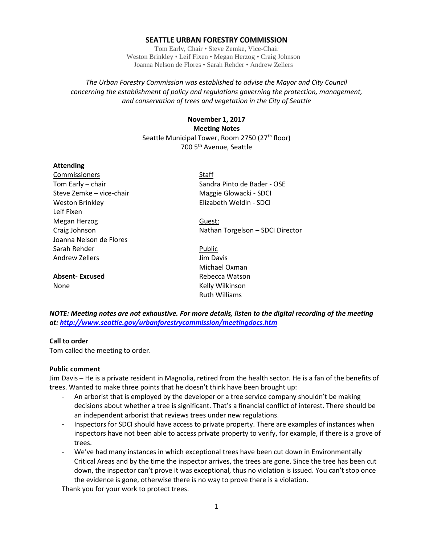### **SEATTLE URBAN FORESTRY COMMISSION**

Tom Early, Chair • Steve Zemke, Vice-Chair Weston Brinkley • Leif Fixen • Megan Herzog • Craig Johnson Joanna Nelson de Flores • Sarah Rehder • Andrew Zellers

*The Urban Forestry Commission was established to advise the Mayor and City Council concerning the establishment of policy and regulations governing the protection, management, and conservation of trees and vegetation in the City of Seattle*

> **November 1, 2017 Meeting Notes** Seattle Municipal Tower, Room 2750 (27<sup>th</sup> floor) 700 5th Avenue, Seattle

#### **Attending**

Commissioners Staff Tom Early – chair Sandra Pinto de Bader - OSE Steve Zemke – vice-chair Maggie Glowacki - SDCI Weston Brinkley **Elizabeth Weldin - SDCI** Leif Fixen Megan Herzog Guest: Joanna Nelson de Flores Sarah Rehder Public Andrew Zellers **Andrew Zellers Jim Davis** 

**Absent-Excused** Rebecca Watson None **Kelly Wilkinson** 

Craig Johnson **Nathan Torgelson – SDCI Director** 

Michael Oxman Ruth Williams

*NOTE: Meeting notes are not exhaustive. For more details, listen to the digital recording of the meeting at:<http://www.seattle.gov/urbanforestrycommission/meetingdocs.htm>*

#### **Call to order**

Tom called the meeting to order.

#### **Public comment**

Jim Davis – He is a private resident in Magnolia, retired from the health sector. He is a fan of the benefits of trees. Wanted to make three points that he doesn't think have been brought up:

- An arborist that is employed by the developer or a tree service company shouldn't be making decisions about whether a tree is significant. That's a financial conflict of interest. There should be an independent arborist that reviews trees under new regulations.
- Inspectors for SDCI should have access to private property. There are examples of instances when inspectors have not been able to access private property to verify, for example, if there is a grove of trees.
- We've had many instances in which exceptional trees have been cut down in Environmentally Critical Areas and by the time the inspector arrives, the trees are gone. Since the tree has been cut down, the inspector can't prove it was exceptional, thus no violation is issued. You can't stop once the evidence is gone, otherwise there is no way to prove there is a violation.

Thank you for your work to protect trees.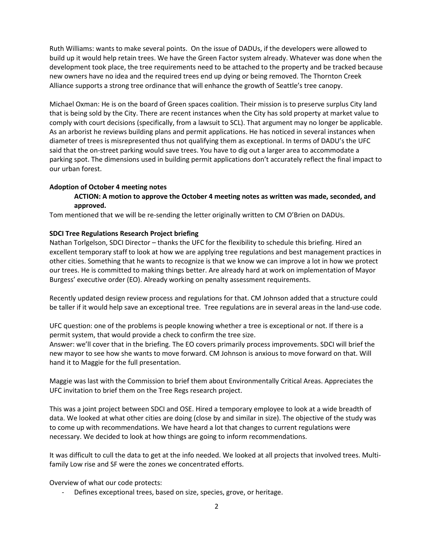Ruth Williams: wants to make several points. On the issue of DADUs, if the developers were allowed to build up it would help retain trees. We have the Green Factor system already. Whatever was done when the development took place, the tree requirements need to be attached to the property and be tracked because new owners have no idea and the required trees end up dying or being removed. The Thornton Creek Alliance supports a strong tree ordinance that will enhance the growth of Seattle's tree canopy.

Michael Oxman: He is on the board of Green spaces coalition. Their mission is to preserve surplus City land that is being sold by the City. There are recent instances when the City has sold property at market value to comply with court decisions (specifically, from a lawsuit to SCL). That argument may no longer be applicable. As an arborist he reviews building plans and permit applications. He has noticed in several instances when diameter of trees is misrepresented thus not qualifying them as exceptional. In terms of DADU's the UFC said that the on-street parking would save trees. You have to dig out a larger area to accommodate a parking spot. The dimensions used in building permit applications don't accurately reflect the final impact to our urban forest.

## **Adoption of October 4 meeting notes**

# **ACTION: A motion to approve the October 4 meeting notes as written was made, seconded, and approved.**

Tom mentioned that we will be re-sending the letter originally written to CM O'Brien on DADUs.

# **SDCI Tree Regulations Research Project briefing**

Nathan Torlgelson, SDCI Director – thanks the UFC for the flexibility to schedule this briefing. Hired an excellent temporary staff to look at how we are applying tree regulations and best management practices in other cities. Something that he wants to recognize is that we know we can improve a lot in how we protect our trees. He is committed to making things better. Are already hard at work on implementation of Mayor Burgess' executive order (EO). Already working on penalty assessment requirements.

Recently updated design review process and regulations for that. CM Johnson added that a structure could be taller if it would help save an exceptional tree. Tree regulations are in several areas in the land-use code.

UFC question: one of the problems is people knowing whether a tree is exceptional or not. If there is a permit system, that would provide a check to confirm the tree size.

Answer: we'll cover that in the briefing. The EO covers primarily process improvements. SDCI will brief the new mayor to see how she wants to move forward. CM Johnson is anxious to move forward on that. Will hand it to Maggie for the full presentation.

Maggie was last with the Commission to brief them about Environmentally Critical Areas. Appreciates the UFC invitation to brief them on the Tree Regs research project.

This was a joint project between SDCI and OSE. Hired a temporary employee to look at a wide breadth of data. We looked at what other cities are doing (close by and similar in size). The objective of the study was to come up with recommendations. We have heard a lot that changes to current regulations were necessary. We decided to look at how things are going to inform recommendations.

It was difficult to cull the data to get at the info needed. We looked at all projects that involved trees. Multifamily Low rise and SF were the zones we concentrated efforts.

Overview of what our code protects:

Defines exceptional trees, based on size, species, grove, or heritage.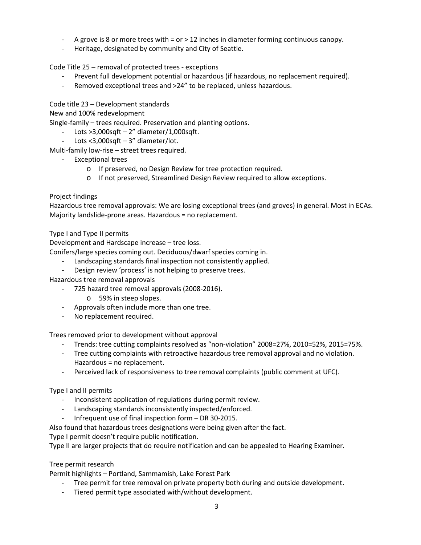- A grove is 8 or more trees with = or > 12 inches in diameter forming continuous canopy.
- Heritage, designated by community and City of Seattle.

Code Title 25 – removal of protected trees - exceptions

- Prevent full development potential or hazardous (if hazardous, no replacement required).
- Removed exceptional trees and >24" to be replaced, unless hazardous.

Code title 23 – Development standards

New and 100% redevelopment

Single-family – trees required. Preservation and planting options.

- Lots  $>3,000$ sqft 2" diameter/1,000sqft.
- Lots <3,000sqft 3" diameter/lot.

Multi-family low-rise – street trees required.

- Exceptional trees
	- o If preserved, no Design Review for tree protection required.
	- o If not preserved, Streamlined Design Review required to allow exceptions.

Project findings

Hazardous tree removal approvals: We are losing exceptional trees (and groves) in general. Most in ECAs. Majority landslide-prone areas. Hazardous = no replacement.

Type I and Type II permits

Development and Hardscape increase – tree loss.

Conifers/large species coming out. Deciduous/dwarf species coming in.

- Landscaping standards final inspection not consistently applied.
- Design review 'process' is not helping to preserve trees.
- Hazardous tree removal approvals
	- 725 hazard tree removal approvals (2008-2016).
		- o 59% in steep slopes.
	- Approvals often include more than one tree.
	- No replacement required.

Trees removed prior to development without approval

- Trends: tree cutting complaints resolved as "non-violation" 2008=27%, 2010=52%, 2015=75%.
- Tree cutting complaints with retroactive hazardous tree removal approval and no violation. Hazardous = no replacement.
- Perceived lack of responsiveness to tree removal complaints (public comment at UFC).

Type I and II permits

- Inconsistent application of regulations during permit review.
- Landscaping standards inconsistently inspected/enforced.
- Infrequent use of final inspection form DR 30-2015.

Also found that hazardous trees designations were being given after the fact.

Type I permit doesn't require public notification.

Type II are larger projects that do require notification and can be appealed to Hearing Examiner.

Tree permit research

Permit highlights – Portland, Sammamish, Lake Forest Park

- Tree permit for tree removal on private property both during and outside development.
- Tiered permit type associated with/without development.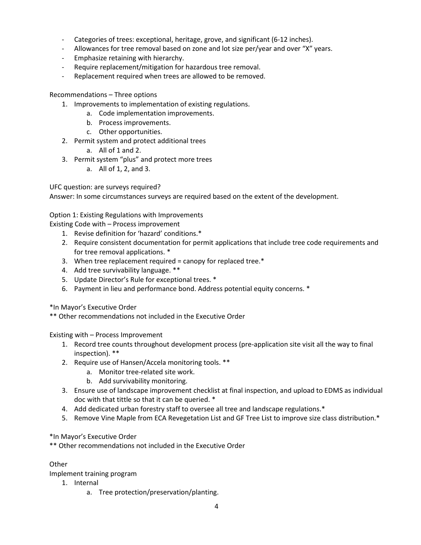- Categories of trees: exceptional, heritage, grove, and significant (6-12 inches).
- Allowances for tree removal based on zone and lot size per/year and over "X" years.
- Emphasize retaining with hierarchy.
- Require replacement/mitigation for hazardous tree removal.
- Replacement required when trees are allowed to be removed.

## Recommendations – Three options

- 1. Improvements to implementation of existing regulations.
	- a. Code implementation improvements.
	- b. Process improvements.
	- c. Other opportunities.
- 2. Permit system and protect additional trees
	- a. All of 1 and 2.
- 3. Permit system "plus" and protect more trees
	- a. All of 1, 2, and 3.

UFC question: are surveys required?

Answer: In some circumstances surveys are required based on the extent of the development.

# Option 1: Existing Regulations with Improvements

Existing Code with – Process improvement

- 1. Revise definition for 'hazard' conditions.\*
- 2. Require consistent documentation for permit applications that include tree code requirements and for tree removal applications. \*
- 3. When tree replacement required = canopy for replaced tree.\*
- 4. Add tree survivability language. \*\*
- 5. Update Director's Rule for exceptional trees. \*
- 6. Payment in lieu and performance bond. Address potential equity concerns. \*
- \*In Mayor's Executive Order
- \*\* Other recommendations not included in the Executive Order

Existing with – Process Improvement

- 1. Record tree counts throughout development process (pre-application site visit all the way to final inspection). \*\*
- 2. Require use of Hansen/Accela monitoring tools. \*\*
	- a. Monitor tree-related site work.
	- b. Add survivability monitoring.
- 3. Ensure use of landscape improvement checklist at final inspection, and upload to EDMS as individual doc with that tittle so that it can be queried. \*
- 4. Add dedicated urban forestry staff to oversee all tree and landscape regulations.\*
- 5. Remove Vine Maple from ECA Revegetation List and GF Tree List to improve size class distribution.\*

## \*In Mayor's Executive Order

\*\* Other recommendations not included in the Executive Order

## Other

Implement training program

- 1. Internal
	- a. Tree protection/preservation/planting.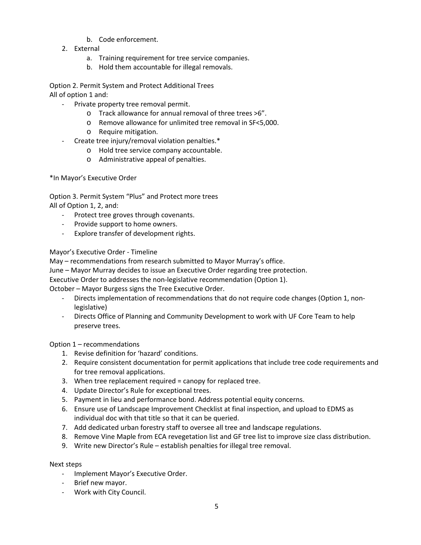- b. Code enforcement.
- 2. External
	- a. Training requirement for tree service companies.
	- b. Hold them accountable for illegal removals.

Option 2. Permit System and Protect Additional Trees All of option 1 and:

- Private property tree removal permit.
	- o Track allowance for annual removal of three trees >6".
	- o Remove allowance for unlimited tree removal in SF<5,000.
	- o Require mitigation.
- Create tree injury/removal violation penalties.\*
	- o Hold tree service company accountable.
	- o Administrative appeal of penalties.

\*In Mayor's Executive Order

Option 3. Permit System "Plus" and Protect more trees All of Option 1, 2, and:

- Protect tree groves through covenants.
- Provide support to home owners.
- Explore transfer of development rights.

Mayor's Executive Order - Timeline

May – recommendations from research submitted to Mayor Murray's office.

June – Mayor Murray decides to issue an Executive Order regarding tree protection.

Executive Order to addresses the non-legislative recommendation (Option 1).

October – Mayor Burgess signs the Tree Executive Order.

- Directs implementation of recommendations that do not require code changes (Option 1, nonlegislative)
- Directs Office of Planning and Community Development to work with UF Core Team to help preserve trees.

Option 1 – recommendations

- 1. Revise definition for 'hazard' conditions.
- 2. Require consistent documentation for permit applications that include tree code requirements and for tree removal applications.
- 3. When tree replacement required = canopy for replaced tree.
- 4. Update Director's Rule for exceptional trees.
- 5. Payment in lieu and performance bond. Address potential equity concerns.
- 6. Ensure use of Landscape Improvement Checklist at final inspection, and upload to EDMS as individual doc with that title so that it can be queried.
- 7. Add dedicated urban forestry staff to oversee all tree and landscape regulations.
- 8. Remove Vine Maple from ECA revegetation list and GF tree list to improve size class distribution.
- 9. Write new Director's Rule establish penalties for illegal tree removal.

## Next steps

- Implement Mayor's Executive Order.
- Brief new mayor.
- Work with City Council.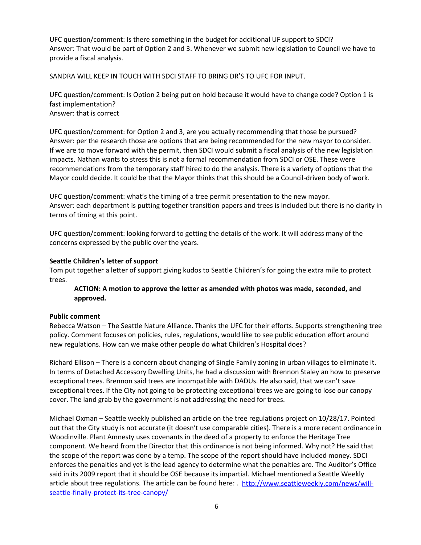UFC question/comment: Is there something in the budget for additional UF support to SDCI? Answer: That would be part of Option 2 and 3. Whenever we submit new legislation to Council we have to provide a fiscal analysis.

SANDRA WILL KEEP IN TOUCH WITH SDCI STAFF TO BRING DR'S TO UFC FOR INPUT.

UFC question/comment: Is Option 2 being put on hold because it would have to change code? Option 1 is fast implementation? Answer: that is correct

UFC question/comment: for Option 2 and 3, are you actually recommending that those be pursued? Answer: per the research those are options that are being recommended for the new mayor to consider. If we are to move forward with the permit, then SDCI would submit a fiscal analysis of the new legislation impacts. Nathan wants to stress this is not a formal recommendation from SDCI or OSE. These were recommendations from the temporary staff hired to do the analysis. There is a variety of options that the Mayor could decide. It could be that the Mayor thinks that this should be a Council-driven body of work.

UFC question/comment: what's the timing of a tree permit presentation to the new mayor. Answer: each department is putting together transition papers and trees is included but there is no clarity in terms of timing at this point.

UFC question/comment: looking forward to getting the details of the work. It will address many of the concerns expressed by the public over the years.

# **Seattle Children's letter of support**

Tom put together a letter of support giving kudos to Seattle Children's for going the extra mile to protect trees.

# **ACTION: A motion to approve the letter as amended with photos was made, seconded, and approved.**

## **Public comment**

Rebecca Watson – The Seattle Nature Alliance. Thanks the UFC for their efforts. Supports strengthening tree policy. Comment focuses on policies, rules, regulations, would like to see public education effort around new regulations. How can we make other people do what Children's Hospital does?

Richard Ellison – There is a concern about changing of Single Family zoning in urban villages to eliminate it. In terms of Detached Accessory Dwelling Units, he had a discussion with Brennon Staley an how to preserve exceptional trees. Brennon said trees are incompatible with DADUs. He also said, that we can't save exceptional trees. If the City not going to be protecting exceptional trees we are going to lose our canopy cover. The land grab by the government is not addressing the need for trees.

Michael Oxman – Seattle weekly published an article on the tree regulations project on 10/28/17. Pointed out that the City study is not accurate (it doesn't use comparable cities). There is a more recent ordinance in Woodinville. Plant Amnesty uses covenants in the deed of a property to enforce the Heritage Tree component. We heard from the Director that this ordinance is not being informed. Why not? He said that the scope of the report was done by a temp. The scope of the report should have included money. SDCI enforces the penalties and yet is the lead agency to determine what the penalties are. The Auditor's Office said in its 2009 report that it should be OSE because its impartial. Michael mentioned a Seattle Weekly article about tree regulations. The article can be found here: . [http://www.seattleweekly.com/news/will](http://www.seattleweekly.com/news/will-seattle-finally-protect-its-tree-canopy/)[seattle-finally-protect-its-tree-canopy/](http://www.seattleweekly.com/news/will-seattle-finally-protect-its-tree-canopy/)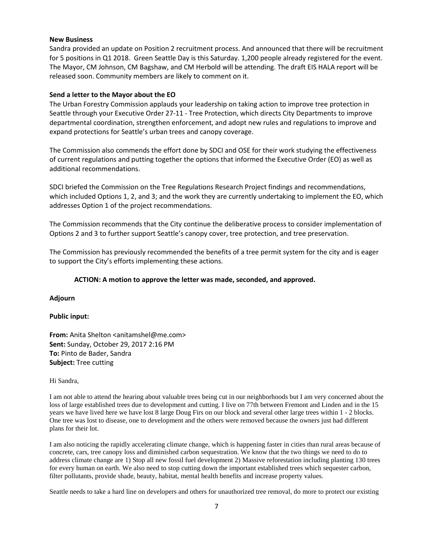### **New Business**

Sandra provided an update on Position 2 recruitment process. And announced that there will be recruitment for 5 positions in Q1 2018. Green Seattle Day is this Saturday. 1,200 people already registered for the event. The Mayor, CM Johnson, CM Bagshaw, and CM Herbold will be attending. The draft EIS HALA report will be released soon. Community members are likely to comment on it.

### **Send a letter to the Mayor about the EO**

The Urban Forestry Commission applauds your leadership on taking action to improve tree protection in Seattle through your Executive Order 27-11 - Tree Protection, which directs City Departments to improve departmental coordination, strengthen enforcement, and adopt new rules and regulations to improve and expand protections for Seattle's urban trees and canopy coverage.

The Commission also commends the effort done by SDCI and OSE for their work studying the effectiveness of current regulations and putting together the options that informed the Executive Order (EO) as well as additional recommendations.

SDCI briefed the Commission on the Tree Regulations Research Project findings and recommendations, which included Options 1, 2, and 3; and the work they are currently undertaking to implement the EO, which addresses Option 1 of the project recommendations.

The Commission recommends that the City continue the deliberative process to consider implementation of Options 2 and 3 to further support Seattle's canopy cover, tree protection, and tree preservation.

The Commission has previously recommended the benefits of a tree permit system for the city and is eager to support the City's efforts implementing these actions.

#### **ACTION: A motion to approve the letter was made, seconded, and approved.**

#### **Adjourn**

#### **Public input:**

**From:** Anita Shelton <anitamshel@me.com> **Sent:** Sunday, October 29, 2017 2:16 PM **To:** Pinto de Bader, Sandra **Subject:** Tree cutting

Hi Sandra,

I am not able to attend the hearing about valuable trees being cut in our neighborhoods but I am very concerned about the loss of large established trees due to development and cutting. I live on 77th between Fremont and Linden and in the 15 years we have lived here we have lost 8 large Doug Firs on our block and several other large trees within 1 - 2 blocks. One tree was lost to disease, one to development and the others were removed because the owners just had different plans for their lot.

I am also noticing the rapidly accelerating climate change, which is happening faster in cities than rural areas because of concrete, cars, tree canopy loss and diminished carbon sequestration. We know that the two things we need to do to address climate change are 1) Stop all new fossil fuel development 2) Massive reforestation including planting 130 trees for every human on earth. We also need to stop cutting down the important established trees which sequester carbon, filter pollutants, provide shade, beauty, habitat, mental health benefits and increase property values.

Seattle needs to take a hard line on developers and others for unauthorized tree removal, do more to protect our existing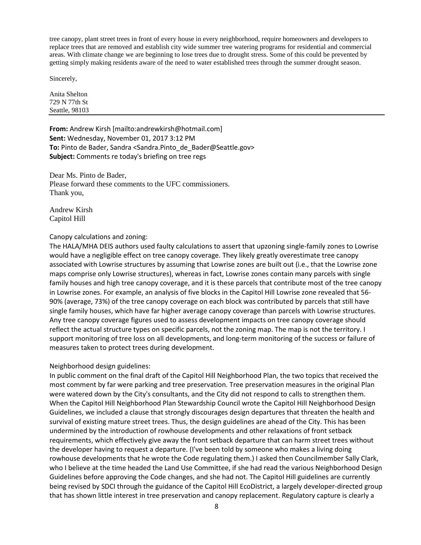tree canopy, plant street trees in front of every house in every neighborhood, require homeowners and developers to replace trees that are removed and establish city wide summer tree watering programs for residential and commercial areas. With climate change we are beginning to lose trees due to drought stress. Some of this could be prevented by getting simply making residents aware of the need to water established trees through the summer drought season.

Sincerely,

Anita Shelton 729 N 77th St Seattle, 98103

**From:** Andrew Kirsh [mailto:andrewkirsh@hotmail.com] **Sent:** Wednesday, November 01, 2017 3:12 PM **To:** Pinto de Bader, Sandra <Sandra.Pinto\_de\_Bader@Seattle.gov> **Subject:** Comments re today's briefing on tree regs

Dear Ms. Pinto de Bader, Please forward these comments to the UFC commissioners. Thank you,

Andrew Kirsh Capitol Hill

### Canopy calculations and zoning:

The HALA/MHA DEIS authors used faulty calculations to assert that upzoning single-family zones to Lowrise would have a negligible effect on tree canopy coverage. They likely greatly overestimate tree canopy associated with Lowrise structures by assuming that Lowrise zones are built out (i.e., that the Lowrise zone maps comprise only Lowrise structures), whereas in fact, Lowrise zones contain many parcels with single family houses and high tree canopy coverage, and it is these parcels that contribute most of the tree canopy in Lowrise zones. For example, an analysis of five blocks in the Capitol Hill Lowrise zone revealed that 56- 90% (average, 73%) of the tree canopy coverage on each block was contributed by parcels that still have single family houses, which have far higher average canopy coverage than parcels with Lowrise structures. Any tree canopy coverage figures used to assess development impacts on tree canopy coverage should reflect the actual structure types on specific parcels, not the zoning map. The map is not the territory. I support monitoring of tree loss on all developments, and long-term monitoring of the success or failure of measures taken to protect trees during development.

## Neighborhood design guidelines:

In public comment on the final draft of the Capitol Hill Neighborhood Plan, the two topics that received the most comment by far were parking and tree preservation. Tree preservation measures in the original Plan were watered down by the City's consultants, and the City did not respond to calls to strengthen them. When the Capitol Hill Neighborhood Plan Stewardship Council wrote the Capitol Hill Neighborhood Design Guidelines, we included a clause that strongly discourages design departures that threaten the health and survival of existing mature street trees. Thus, the design guidelines are ahead of the City. This has been undermined by the introduction of rowhouse developments and other relaxations of front setback requirements, which effectively give away the front setback departure that can harm street trees without the developer having to request a departure. (I've been told by someone who makes a living doing rowhouse developments that he wrote the Code regulating them.) I asked then Councilmember Sally Clark, who I believe at the time headed the Land Use Committee, if she had read the various Neighborhood Design Guidelines before approving the Code changes, and she had not. The Capitol Hill guidelines are currently being revised by SDCI through the guidance of the Capitol Hill EcoDistrict, a largely developer-directed group that has shown little interest in tree preservation and canopy replacement. Regulatory capture is clearly a